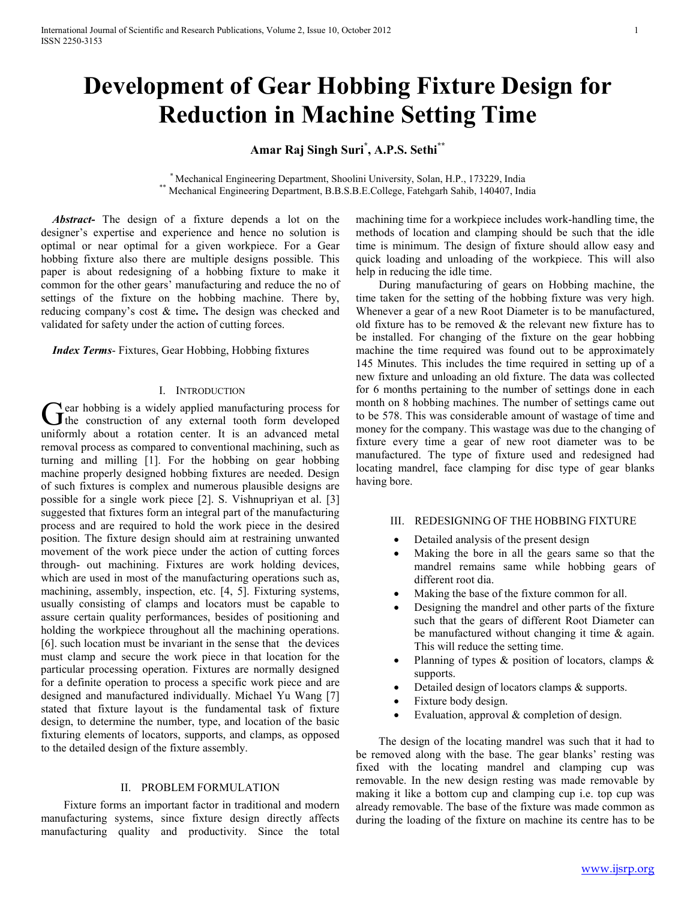# **Development of Gear Hobbing Fixture Design for Reduction in Machine Setting Time**

**Amar Raj Singh Suri\* , A.P.S. Sethi\*\***

\* Mechanical Engineering Department, Shoolini University, Solan, H.P., 173229, India \*\* Mechanical Engineering Department, B.B.S.B.E.College, Fatehgarh Sahib, 140407, India

 *Abstract***-** The design of a fixture depends a lot on the designer's expertise and experience and hence no solution is optimal or near optimal for a given workpiece. For a Gear hobbing fixture also there are multiple designs possible. This paper is about redesigning of a hobbing fixture to make it common for the other gears' manufacturing and reduce the no of settings of the fixture on the hobbing machine. There by, reducing company's cost & time**.** The design was checked and validated for safety under the action of cutting forces.

 *Index Terms*- Fixtures, Gear Hobbing, Hobbing fixtures

#### I. INTRODUCTION

**T** ear hobbing is a widely applied manufacturing process for  $\sigma$  ear hobbing is a widely applied manufacturing process for the construction of any external tooth form developed uniformly about a rotation center. It is an advanced metal removal process as compared to conventional machining, such as turning and milling [1]. For the hobbing on gear hobbing machine properly designed hobbing fixtures are needed. Design of such fixtures is complex and numerous plausible designs are possible for a single work piece [2]. S. Vishnupriyan et al. [3] suggested that fixtures form an integral part of the manufacturing process and are required to hold the work piece in the desired position. The fixture design should aim at restraining unwanted movement of the work piece under the action of cutting forces through- out machining. Fixtures are work holding devices, which are used in most of the manufacturing operations such as, machining, assembly, inspection, etc. [4, 5]. Fixturing systems, usually consisting of clamps and locators must be capable to assure certain quality performances, besides of positioning and holding the workpiece throughout all the machining operations. [6]. such location must be invariant in the sense that the devices must clamp and secure the work piece in that location for the particular processing operation. Fixtures are normally designed for a definite operation to process a specific work piece and are designed and manufactured individually. Michael Yu Wang [7] stated that fixture layout is the fundamental task of fixture design, to determine the number, type, and location of the basic fixturing elements of locators, supports, and clamps, as opposed to the detailed design of the fixture assembly.

# II. PROBLEM FORMULATION

 Fixture forms an important factor in traditional and modern manufacturing systems, since fixture design directly affects manufacturing quality and productivity. Since the total

machining time for a workpiece includes work-handling time, the methods of location and clamping should be such that the idle time is minimum. The design of fixture should allow easy and quick loading and unloading of the workpiece. This will also help in reducing the idle time.

 During manufacturing of gears on Hobbing machine, the time taken for the setting of the hobbing fixture was very high. Whenever a gear of a new Root Diameter is to be manufactured, old fixture has to be removed  $\&$  the relevant new fixture has to be installed. For changing of the fixture on the gear hobbing machine the time required was found out to be approximately 145 Minutes. This includes the time required in setting up of a new fixture and unloading an old fixture. The data was collected for 6 months pertaining to the number of settings done in each month on 8 hobbing machines. The number of settings came out to be 578. This was considerable amount of wastage of time and money for the company. This wastage was due to the changing of fixture every time a gear of new root diameter was to be manufactured. The type of fixture used and redesigned had locating mandrel, face clamping for disc type of gear blanks having bore.

# III. REDESIGNING OF THE HOBBING FIXTURE

- Detailed analysis of the present design
- Making the bore in all the gears same so that the mandrel remains same while hobbing gears of different root dia.
- Making the base of the fixture common for all.
- Designing the mandrel and other parts of the fixture such that the gears of different Root Diameter can be manufactured without changing it time & again. This will reduce the setting time.
- Planning of types  $\&$  position of locators, clamps  $\&$ supports.
- Detailed design of locators clamps & supports.
- Fixture body design.
- Evaluation, approval & completion of design.

 The design of the locating mandrel was such that it had to be removed along with the base. The gear blanks' resting was fixed with the locating mandrel and clamping cup was removable. In the new design resting was made removable by making it like a bottom cup and clamping cup i.e. top cup was already removable. The base of the fixture was made common as during the loading of the fixture on machine its centre has to be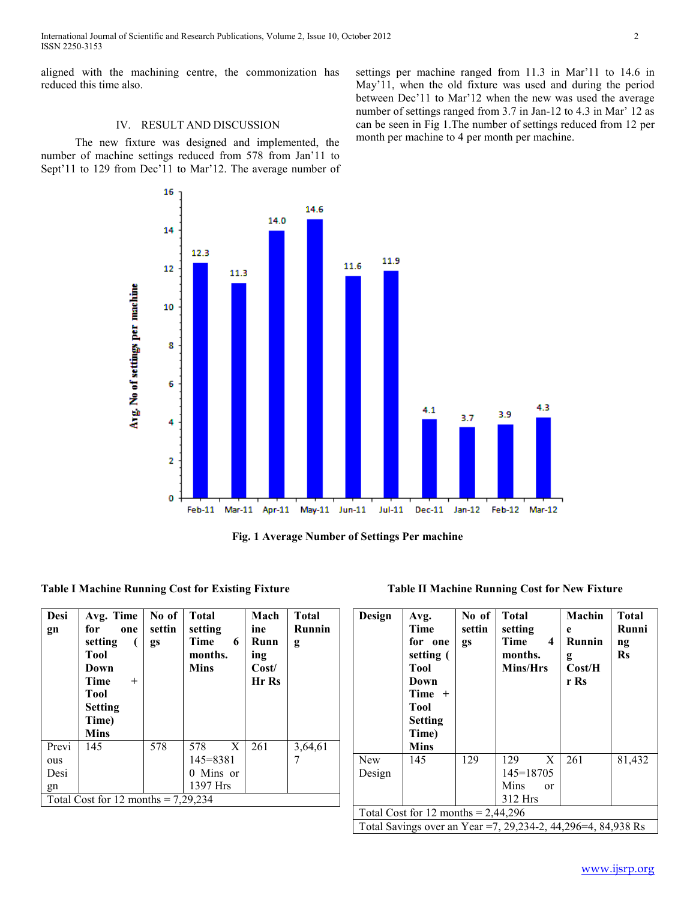International Journal of Scientific and Research Publications, Volume 2, Issue 10, October 2012 2 ISSN 2250-3153

aligned with the machining centre, the commonization has reduced this time also.

## IV. RESULT AND DISCUSSION

 $12.3$ 

11.3

 The new fixture was designed and implemented, the number of machine settings reduced from 578 from Jan'11 to Sept'11 to 129 from Dec'11 to Mar'12. The average number of

16

14

 $12$ 

Arg. No of settings per machine

settings per machine ranged from 11.3 in Mar'11 to 14.6 in May'11, when the old fixture was used and during the period between Dec'11 to Mar'12 when the new was used the average number of settings ranged from 3.7 in Jan-12 to 4.3 in Mar' 12 as can be seen in Fig 1.The number of settings reduced from 12 per month per machine to 4 per month per machine.

**Table I Machine Running Cost for Existing Fixture** 

| Desi<br>gn                            | Avg. Time<br>for<br>one<br>setting<br>Tool<br>Down<br>Time<br>$\pm$<br>Tool<br><b>Setting</b><br>Time)<br><b>Mins</b> | No of<br>settin<br>gs | <b>Total</b><br>setting<br>Time<br>6<br>months.<br><b>Mins</b> | Mach<br>ine<br>Runn<br>ing<br>Cost/<br>Hr Rs | <b>Total</b><br>Runnin<br>g |  |  |
|---------------------------------------|-----------------------------------------------------------------------------------------------------------------------|-----------------------|----------------------------------------------------------------|----------------------------------------------|-----------------------------|--|--|
| Previ<br>ous                          | 145                                                                                                                   | 578                   | 578<br>X<br>145=8381                                           | 261                                          | 3,64,61                     |  |  |
| Desi                                  |                                                                                                                       |                       | 0 Mins or                                                      |                                              |                             |  |  |
| gn                                    |                                                                                                                       |                       | 1397 Hrs                                                       |                                              |                             |  |  |
| Total Cost for 12 months = $7,29,234$ |                                                                                                                       |                       |                                                                |                                              |                             |  |  |

| <b>Table II Machine Running Cost for New Fixture</b> |  |  |  |
|------------------------------------------------------|--|--|--|
|                                                      |  |  |  |

| Design                                                            | Avg.<br>Time<br>for one<br>setting (<br>Tool<br>Down<br>Time<br>$^{+}$<br><b>Tool</b><br><b>Setting</b><br>Time)<br><b>Mins</b> | No of<br>settin<br>gs | <b>Total</b><br>setting<br>Time<br>4<br>months.<br><b>Mins/Hrs</b> | Machin<br>e<br>Runnin<br>g<br>Cost/H<br>r Rs | <b>Total</b><br>Runni<br>$\mathbf{ng}$<br><b>Rs</b> |  |  |
|-------------------------------------------------------------------|---------------------------------------------------------------------------------------------------------------------------------|-----------------------|--------------------------------------------------------------------|----------------------------------------------|-----------------------------------------------------|--|--|
| New                                                               | 145                                                                                                                             | 129                   | 129<br>X                                                           | 261                                          | 81,432                                              |  |  |
| Design                                                            |                                                                                                                                 |                       | $145 = 18705$                                                      |                                              |                                                     |  |  |
|                                                                   |                                                                                                                                 |                       | Mins<br>$\alpha$                                                   |                                              |                                                     |  |  |
|                                                                   |                                                                                                                                 |                       | 312 Hrs                                                            |                                              |                                                     |  |  |
| Total Cost for 12 months = $2,44,296$                             |                                                                                                                                 |                       |                                                                    |                                              |                                                     |  |  |
| Total Savings over an Year =7, 29, 234-2, 44, 296 = 4, 84, 938 Rs |                                                                                                                                 |                       |                                                                    |                                              |                                                     |  |  |



11.9

11.6

**Fig. 1 Average Number of Settings Per machine** 

14.6

14.0